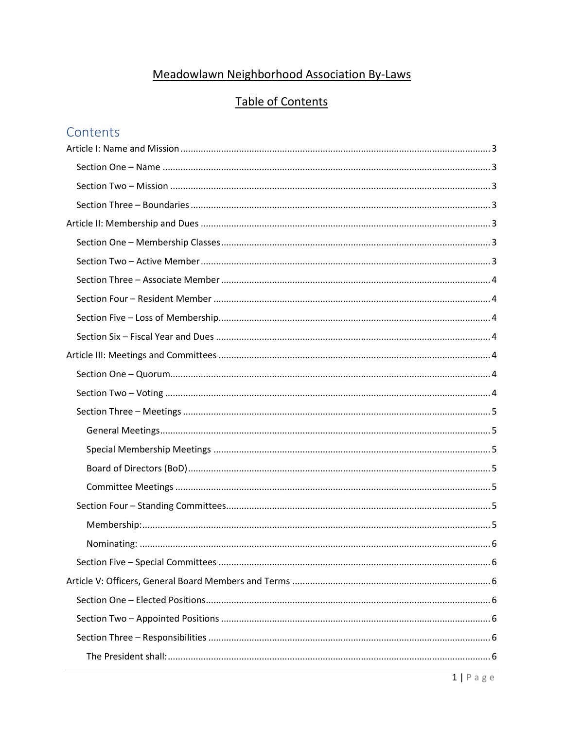# Meadowlawn Neighborhood Association By-Laws

# **Table of Contents**

# Contents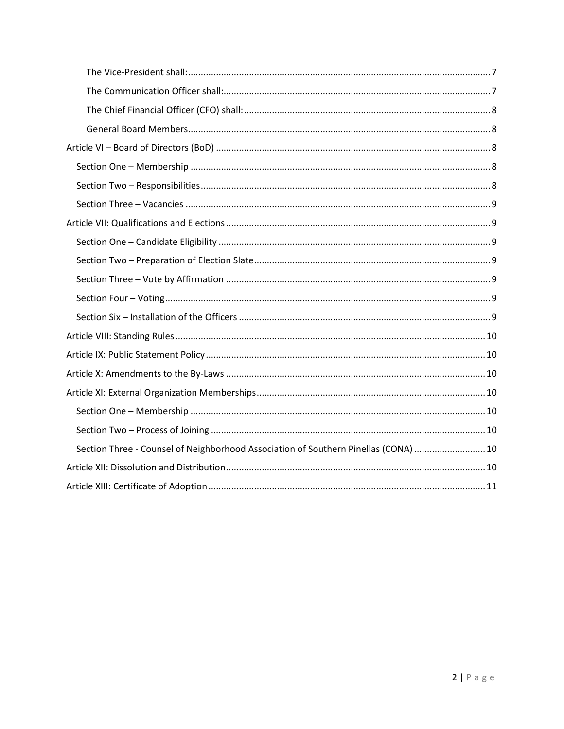| Section Three - Counsel of Neighborhood Association of Southern Pinellas (CONA)  10 |  |
|-------------------------------------------------------------------------------------|--|
|                                                                                     |  |
|                                                                                     |  |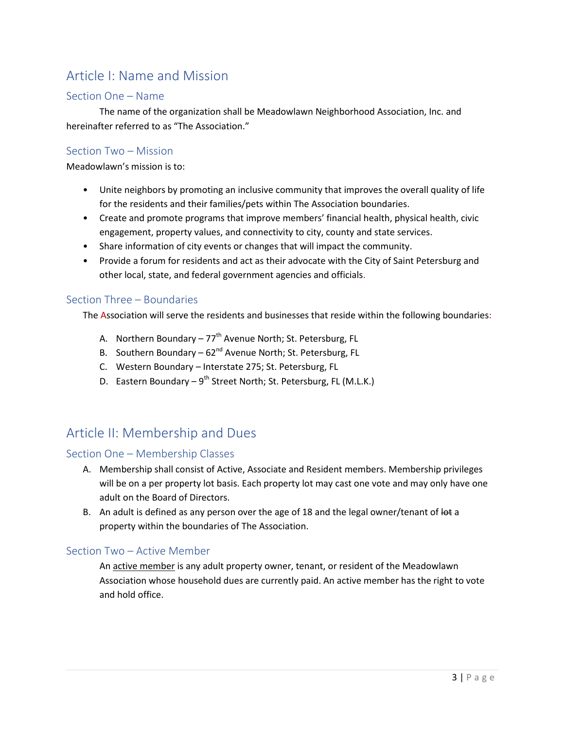# <span id="page-2-0"></span>Article I: Name and Mission

#### <span id="page-2-1"></span>Section One – Name

The name of the organization shall be Meadowlawn Neighborhood Association, Inc. and hereinafter referred to as "The Association."

### <span id="page-2-2"></span>Section Two – Mission

Meadowlawn's mission is to:

- Unite neighbors by promoting an inclusive community that improves the overall quality of life for the residents and their families/pets within The Association boundaries.
- Create and promote programs that improve members' financial health, physical health, civic engagement, property values, and connectivity to city, county and state services.
- Share information of city events or changes that will impact the community.
- Provide a forum for residents and act as their advocate with the City of Saint Petersburg and other local, state, and federal government agencies and officials.

#### <span id="page-2-3"></span>Section Three – Boundaries

The Association will serve the residents and businesses that reside within the following boundaries:

- A. Northern Boundary  $77<sup>th</sup>$  Avenue North; St. Petersburg, FL
- B. Southern Boundary  $62^{nd}$  Avenue North; St. Petersburg, FL
- C. Western Boundary Interstate 275; St. Petersburg, FL
- D. Eastern Boundary  $9^{th}$  Street North; St. Petersburg, FL (M.L.K.)

### <span id="page-2-4"></span>Article II: Membership and Dues

#### <span id="page-2-5"></span>Section One – Membership Classes

- A. Membership shall consist of Active, Associate and Resident members. Membership privileges will be on a per property lot basis. Each property lot may cast one vote and may only have one adult on the Board of Directors.
- B. An adult is defined as any person over the age of 18 and the legal owner/tenant of lot a property within the boundaries of The Association.

#### <span id="page-2-6"></span>Section Two – Active Member

An active member is any adult property owner, tenant, or resident of the Meadowlawn Association whose household dues are currently paid. An active member has the right to vote and hold office.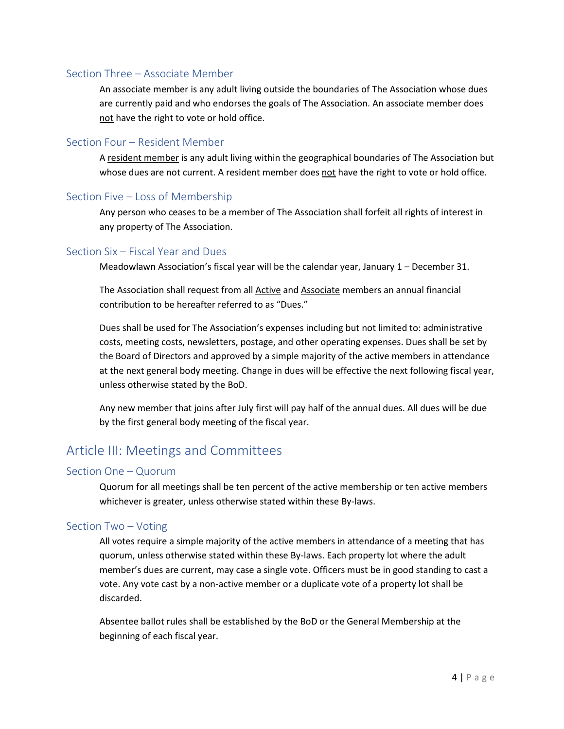### <span id="page-3-0"></span>Section Three – Associate Member

An associate member is any adult living outside the boundaries of The Association whose dues are currently paid and who endorses the goals of The Association. An associate member does not have the right to vote or hold office.

#### <span id="page-3-1"></span>Section Four – Resident Member

A resident member is any adult living within the geographical boundaries of The Association but whose dues are not current. A resident member does not have the right to vote or hold office.

#### <span id="page-3-2"></span>Section Five – Loss of Membership

Any person who ceases to be a member of The Association shall forfeit all rights of interest in any property of The Association.

#### <span id="page-3-3"></span>Section Six – Fiscal Year and Dues

Meadowlawn Association's fiscal year will be the calendar year, January 1 – December 31.

The Association shall request from all Active and Associate members an annual financial contribution to be hereafter referred to as "Dues."

Dues shall be used for The Association's expenses including but not limited to: administrative costs, meeting costs, newsletters, postage, and other operating expenses. Dues shall be set by the Board of Directors and approved by a simple majority of the active members in attendance at the next general body meeting. Change in dues will be effective the next following fiscal year, unless otherwise stated by the BoD.

Any new member that joins after July first will pay half of the annual dues. All dues will be due by the first general body meeting of the fiscal year.

### <span id="page-3-4"></span>Article III: Meetings and Committees

#### <span id="page-3-5"></span>Section One – Quorum

Quorum for all meetings shall be ten percent of the active membership or ten active members whichever is greater, unless otherwise stated within these By-laws.

#### <span id="page-3-6"></span>Section Two – Voting

All votes require a simple majority of the active members in attendance of a meeting that has quorum, unless otherwise stated within these By-laws. Each property lot where the adult member's dues are current, may case a single vote. Officers must be in good standing to cast a vote. Any vote cast by a non-active member or a duplicate vote of a property lot shall be discarded.

Absentee ballot rules shall be established by the BoD or the General Membership at the beginning of each fiscal year.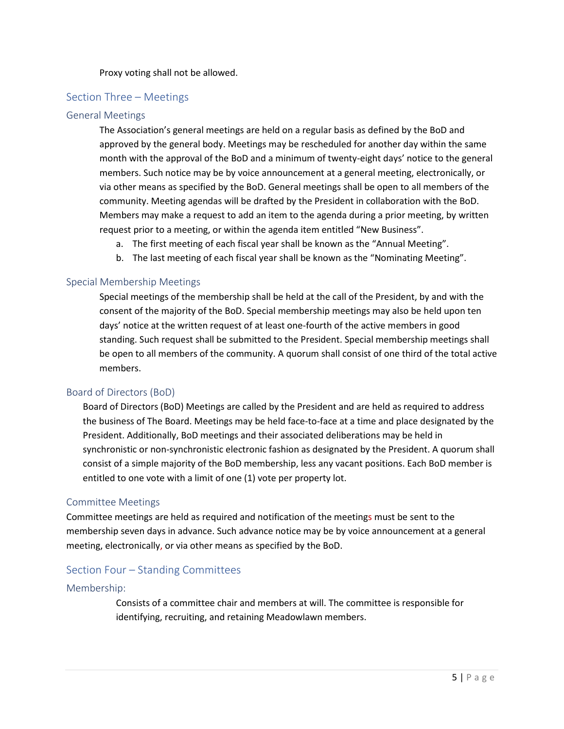#### Proxy voting shall not be allowed.

#### <span id="page-4-0"></span>Section Three – Meetings

#### <span id="page-4-1"></span>General Meetings

The Association's general meetings are held on a regular basis as defined by the BoD and approved by the general body. Meetings may be rescheduled for another day within the same month with the approval of the BoD and a minimum of twenty-eight days' notice to the general members. Such notice may be by voice announcement at a general meeting, electronically, or via other means as specified by the BoD. General meetings shall be open to all members of the community. Meeting agendas will be drafted by the President in collaboration with the BoD. Members may make a request to add an item to the agenda during a prior meeting, by written request prior to a meeting, or within the agenda item entitled "New Business".

- a. The first meeting of each fiscal year shall be known as the "Annual Meeting".
- b. The last meeting of each fiscal year shall be known as the "Nominating Meeting".

#### <span id="page-4-2"></span>Special Membership Meetings

Special meetings of the membership shall be held at the call of the President, by and with the consent of the majority of the BoD. Special membership meetings may also be held upon ten days' notice at the written request of at least one-fourth of the active members in good standing. Such request shall be submitted to the President. Special membership meetings shall be open to all members of the community. A quorum shall consist of one third of the total active members.

#### <span id="page-4-3"></span>Board of Directors (BoD)

Board of Directors (BoD) Meetings are called by the President and are held as required to address the business of The Board. Meetings may be held face-to-face at a time and place designated by the President. Additionally, BoD meetings and their associated deliberations may be held in synchronistic or non-synchronistic electronic fashion as designated by the President. A quorum shall consist of a simple majority of the BoD membership, less any vacant positions. Each BoD member is entitled to one vote with a limit of one (1) vote per property lot.

#### <span id="page-4-4"></span>Committee Meetings

Committee meetings are held as required and notification of the meetings must be sent to the membership seven days in advance. Such advance notice may be by voice announcement at a general meeting, electronically, or via other means as specified by the BoD.

#### <span id="page-4-5"></span>Section Four – Standing Committees

#### <span id="page-4-6"></span>Membership:

Consists of a committee chair and members at will. The committee is responsible for identifying, recruiting, and retaining Meadowlawn members.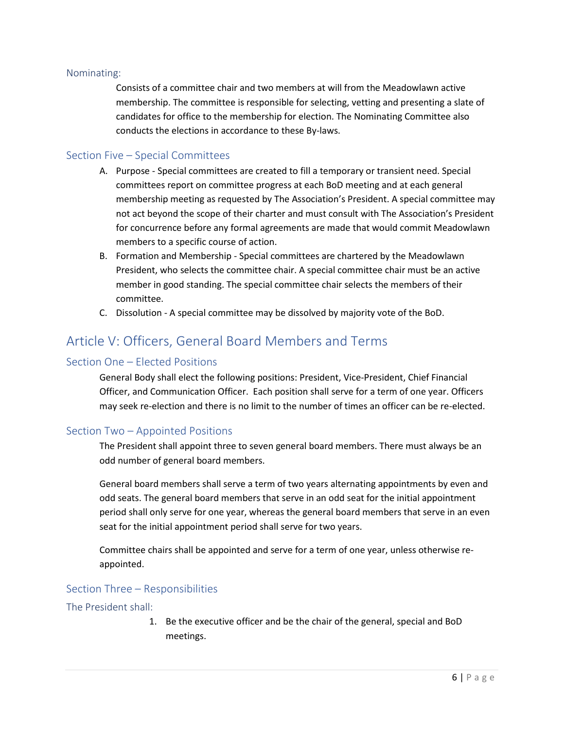#### <span id="page-5-0"></span>Nominating:

Consists of a committee chair and two members at will from the Meadowlawn active membership. The committee is responsible for selecting, vetting and presenting a slate of candidates for office to the membership for election. The Nominating Committee also conducts the elections in accordance to these By-laws.

#### <span id="page-5-1"></span>Section Five – Special Committees

- A. Purpose Special committees are created to fill a temporary or transient need. Special committees report on committee progress at each BoD meeting and at each general membership meeting as requested by The Association's President. A special committee may not act beyond the scope of their charter and must consult with The Association's President for concurrence before any formal agreements are made that would commit Meadowlawn members to a specific course of action.
- B. Formation and Membership Special committees are chartered by the Meadowlawn President, who selects the committee chair. A special committee chair must be an active member in good standing. The special committee chair selects the members of their committee.
- C. Dissolution A special committee may be dissolved by majority vote of the BoD.

## <span id="page-5-2"></span>Article V: Officers, General Board Members and Terms

#### <span id="page-5-3"></span>Section One – Elected Positions

General Body shall elect the following positions: President, Vice-President, Chief Financial Officer, and Communication Officer. Each position shall serve for a term of one year. Officers may seek re-election and there is no limit to the number of times an officer can be re-elected.

#### <span id="page-5-4"></span>Section Two – Appointed Positions

The President shall appoint three to seven general board members. There must always be an odd number of general board members.

General board members shall serve a term of two years alternating appointments by even and odd seats. The general board members that serve in an odd seat for the initial appointment period shall only serve for one year, whereas the general board members that serve in an even seat for the initial appointment period shall serve for two years.

Committee chairs shall be appointed and serve for a term of one year, unless otherwise reappointed.

#### <span id="page-5-5"></span>Section Three – Responsibilities

#### <span id="page-5-6"></span>The President shall:

1. Be the executive officer and be the chair of the general, special and BoD meetings.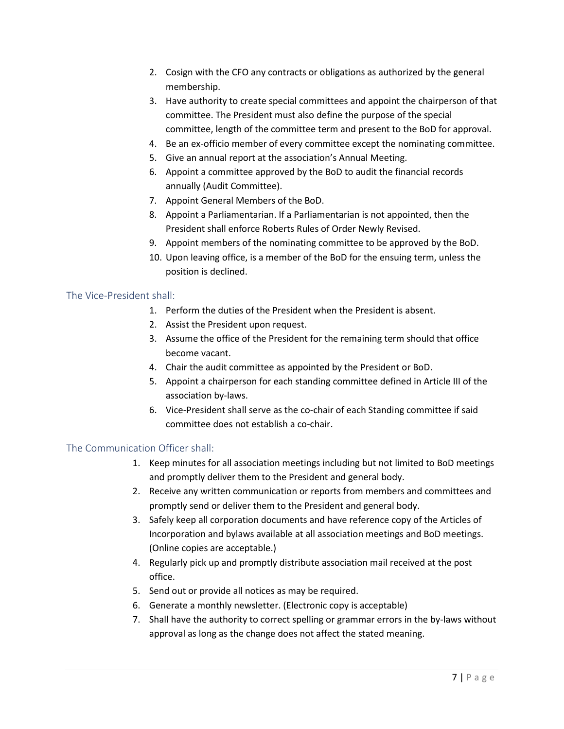- 2. Cosign with the CFO any contracts or obligations as authorized by the general membership.
- 3. Have authority to create special committees and appoint the chairperson of that committee. The President must also define the purpose of the special committee, length of the committee term and present to the BoD for approval.
- 4. Be an ex-officio member of every committee except the nominating committee.
- 5. Give an annual report at the association's Annual Meeting.
- 6. Appoint a committee approved by the BoD to audit the financial records annually (Audit Committee).
- 7. Appoint General Members of the BoD.
- 8. Appoint a Parliamentarian. If a Parliamentarian is not appointed, then the President shall enforce Roberts Rules of Order Newly Revised.
- 9. Appoint members of the nominating committee to be approved by the BoD.
- 10. Upon leaving office, is a member of the BoD for the ensuing term, unless the position is declined.

#### <span id="page-6-0"></span>The Vice-President shall:

- 1. Perform the duties of the President when the President is absent.
- 2. Assist the President upon request.
- 3. Assume the office of the President for the remaining term should that office become vacant.
- 4. Chair the audit committee as appointed by the President or BoD.
- 5. Appoint a chairperson for each standing committee defined in Article III of the association by-laws.
- 6. Vice-President shall serve as the co-chair of each Standing committee if said committee does not establish a co-chair.

#### <span id="page-6-1"></span>The Communication Officer shall:

- 1. Keep minutes for all association meetings including but not limited to BoD meetings and promptly deliver them to the President and general body.
- 2. Receive any written communication or reports from members and committees and promptly send or deliver them to the President and general body.
- 3. Safely keep all corporation documents and have reference copy of the Articles of Incorporation and bylaws available at all association meetings and BoD meetings. (Online copies are acceptable.)
- 4. Regularly pick up and promptly distribute association mail received at the post office.
- 5. Send out or provide all notices as may be required.
- 6. Generate a monthly newsletter. (Electronic copy is acceptable)
- 7. Shall have the authority to correct spelling or grammar errors in the by-laws without approval as long as the change does not affect the stated meaning.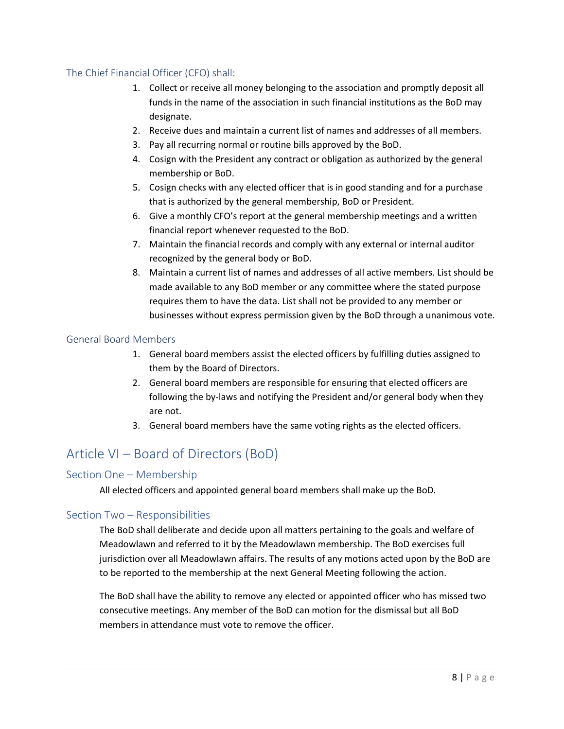### <span id="page-7-0"></span>The Chief Financial Officer (CFO) shall:

- 1. Collect or receive all money belonging to the association and promptly deposit all funds in the name of the association in such financial institutions as the BoD may designate.
- 2. Receive dues and maintain a current list of names and addresses of all members.
- 3. Pay all recurring normal or routine bills approved by the BoD.
- 4. Cosign with the President any contract or obligation as authorized by the general membership or BoD.
- 5. Cosign checks with any elected officer that is in good standing and for a purchase that is authorized by the general membership, BoD or President.
- 6. Give a monthly CFO's report at the general membership meetings and a written financial report whenever requested to the BoD.
- 7. Maintain the financial records and comply with any external or internal auditor recognized by the general body or BoD.
- 8. Maintain a current list of names and addresses of all active members. List should be made available to any BoD member or any committee where the stated purpose requires them to have the data. List shall not be provided to any member or businesses without express permission given by the BoD through a unanimous vote.

#### <span id="page-7-1"></span>General Board Members

- 1. General board members assist the elected officers by fulfilling duties assigned to them by the Board of Directors.
- 2. General board members are responsible for ensuring that elected officers are following the by-laws and notifying the President and/or general body when they are not.
- 3. General board members have the same voting rights as the elected officers.

## <span id="page-7-2"></span>Article VI – Board of Directors (BoD)

#### <span id="page-7-3"></span>Section One – Membership

All elected officers and appointed general board members shall make up the BoD.

#### <span id="page-7-4"></span>Section Two – Responsibilities

The BoD shall deliberate and decide upon all matters pertaining to the goals and welfare of Meadowlawn and referred to it by the Meadowlawn membership. The BoD exercises full jurisdiction over all Meadowlawn affairs. The results of any motions acted upon by the BoD are to be reported to the membership at the next General Meeting following the action.

The BoD shall have the ability to remove any elected or appointed officer who has missed two consecutive meetings. Any member of the BoD can motion for the dismissal but all BoD members in attendance must vote to remove the officer.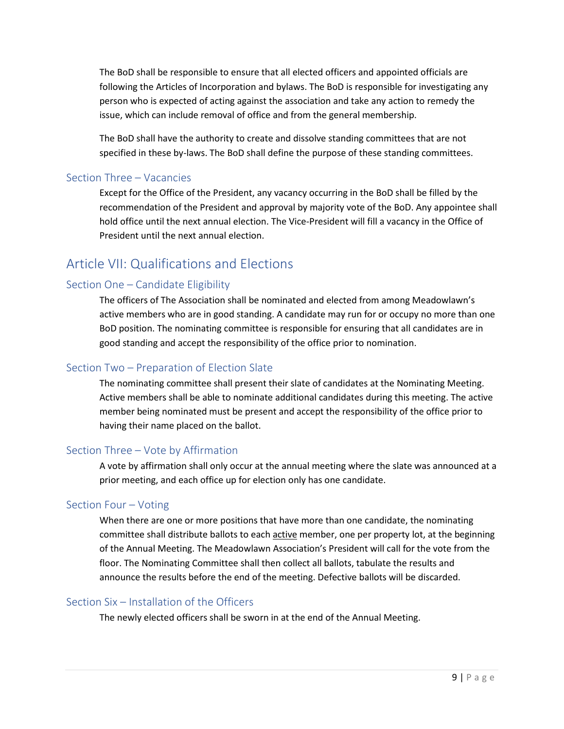The BoD shall be responsible to ensure that all elected officers and appointed officials are following the Articles of Incorporation and bylaws. The BoD is responsible for investigating any person who is expected of acting against the association and take any action to remedy the issue, which can include removal of office and from the general membership.

The BoD shall have the authority to create and dissolve standing committees that are not specified in these by-laws. The BoD shall define the purpose of these standing committees.

#### <span id="page-8-0"></span>Section Three – Vacancies

Except for the Office of the President, any vacancy occurring in the BoD shall be filled by the recommendation of the President and approval by majority vote of the BoD. Any appointee shall hold office until the next annual election. The Vice-President will fill a vacancy in the Office of President until the next annual election.

## <span id="page-8-1"></span>Article VII: Qualifications and Elections

### <span id="page-8-2"></span>Section One – Candidate Eligibility

The officers of The Association shall be nominated and elected from among Meadowlawn's active members who are in good standing. A candidate may run for or occupy no more than one BoD position. The nominating committee is responsible for ensuring that all candidates are in good standing and accept the responsibility of the office prior to nomination.

#### <span id="page-8-3"></span>Section Two – Preparation of Election Slate

The nominating committee shall present their slate of candidates at the Nominating Meeting. Active members shall be able to nominate additional candidates during this meeting. The active member being nominated must be present and accept the responsibility of the office prior to having their name placed on the ballot.

### <span id="page-8-4"></span>Section Three – Vote by Affirmation

A vote by affirmation shall only occur at the annual meeting where the slate was announced at a prior meeting, and each office up for election only has one candidate.

#### <span id="page-8-5"></span>Section Four – Voting

When there are one or more positions that have more than one candidate, the nominating committee shall distribute ballots to each active member, one per property lot, at the beginning of the Annual Meeting. The Meadowlawn Association's President will call for the vote from the floor. The Nominating Committee shall then collect all ballots, tabulate the results and announce the results before the end of the meeting. Defective ballots will be discarded.

#### <span id="page-8-6"></span>Section Six – Installation of the Officers

The newly elected officers shall be sworn in at the end of the Annual Meeting.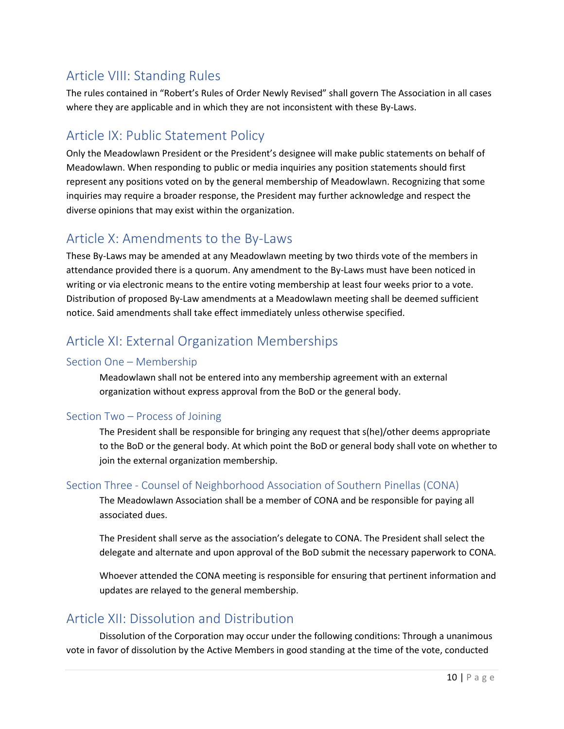# <span id="page-9-0"></span>Article VIII: Standing Rules

The rules contained in "Robert's Rules of Order Newly Revised" shall govern The Association in all cases where they are applicable and in which they are not inconsistent with these By-Laws.

# <span id="page-9-1"></span>Article IX: Public Statement Policy

Only the Meadowlawn President or the President's designee will make public statements on behalf of Meadowlawn. When responding to public or media inquiries any position statements should first represent any positions voted on by the general membership of Meadowlawn. Recognizing that some inquiries may require a broader response, the President may further acknowledge and respect the diverse opinions that may exist within the organization.

## <span id="page-9-2"></span>Article X: Amendments to the By-Laws

These By-Laws may be amended at any Meadowlawn meeting by two thirds vote of the members in attendance provided there is a quorum. Any amendment to the By-Laws must have been noticed in writing or via electronic means to the entire voting membership at least four weeks prior to a vote. Distribution of proposed By-Law amendments at a Meadowlawn meeting shall be deemed sufficient notice. Said amendments shall take effect immediately unless otherwise specified.

# <span id="page-9-3"></span>Article XI: External Organization Memberships

### <span id="page-9-4"></span>Section One – Membership

Meadowlawn shall not be entered into any membership agreement with an external organization without express approval from the BoD or the general body.

### <span id="page-9-5"></span>Section Two – Process of Joining

The President shall be responsible for bringing any request that s(he)/other deems appropriate to the BoD or the general body. At which point the BoD or general body shall vote on whether to join the external organization membership.

### <span id="page-9-6"></span>Section Three - Counsel of Neighborhood Association of Southern Pinellas (CONA)

The Meadowlawn Association shall be a member of CONA and be responsible for paying all associated dues.

The President shall serve as the association's delegate to CONA. The President shall select the delegate and alternate and upon approval of the BoD submit the necessary paperwork to CONA.

Whoever attended the CONA meeting is responsible for ensuring that pertinent information and updates are relayed to the general membership.

## <span id="page-9-7"></span>Article XII: Dissolution and Distribution

Dissolution of the Corporation may occur under the following conditions: Through a unanimous vote in favor of dissolution by the Active Members in good standing at the time of the vote, conducted